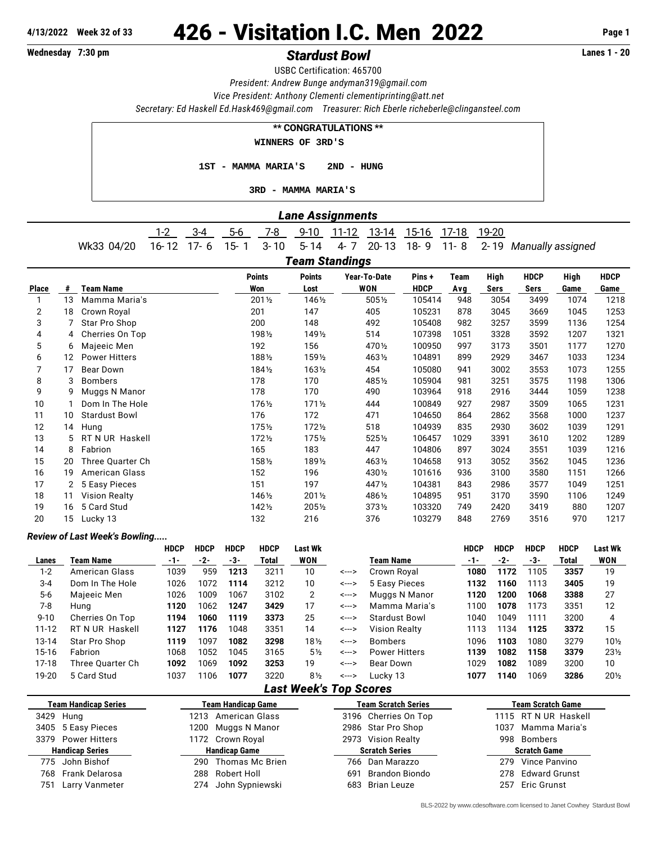# **4/13/2022 Week 32 of 33** 426 - Visitation I.C. Men 2022 **Page 1**

## **Wednesday 7:30 pm** *Stardust Bowl* **Lanes 1 - 20**

USBC Certification: 465700

*President: Andrew Bunge [andyman319@gmail.com](mailto:andyman319@gmail.com)*

*Vice President: Anthony Clementi [clementiprinting@att.net](mailto:clementiprinting@att.net)*

*Secretary: Ed Haskell [Ed.Hask469@gmail.com](mailto:Ed.Hask469@gmail.com) Treasurer: Rich Eberle [richeberle@clingansteel.com](mailto:richeberle@clingansteel.com)*

| <b>** CONGRATULATIONS **</b>   |  |  |  |  |  |  |  |  |  |  |  |
|--------------------------------|--|--|--|--|--|--|--|--|--|--|--|
| WINNERS OF 3RD'S               |  |  |  |  |  |  |  |  |  |  |  |
| 1ST - MAMMA MARIA'S 2ND - HUNG |  |  |  |  |  |  |  |  |  |  |  |
| 3RD - MAMMA MARIA'S            |  |  |  |  |  |  |  |  |  |  |  |

### *Lane Assignments*

|            |  |  |  |  | 9-10 11-12 13-14 15-16 17-18 19-20 |                                                                  |
|------------|--|--|--|--|------------------------------------|------------------------------------------------------------------|
| Wk33 04/20 |  |  |  |  |                                    | 16-12 17-6 15-1 3-10 5-14 4-7 20-13 18-9 11-8 2-19 Manually assi |

Wk33 04/20 16- 12 17- 6 15- 1 3- 10 5- 14 4- 7 20- 13 18- 9 11- 8 2- 19 *Manually assigned Team Standings*

|       | n cam vlanumyə       |                      |                      |                       |                     |                       |             |              |                     |              |                     |  |  |
|-------|----------------------|----------------------|----------------------|-----------------------|---------------------|-----------------------|-------------|--------------|---------------------|--------------|---------------------|--|--|
| Place | #                    | <b>Team Name</b>     | <b>Points</b><br>Won | <b>Points</b><br>Lost | Year-To-Date<br>WON | Pins +<br><b>HDCP</b> | Team<br>Avg | High<br>Sers | <b>HDCP</b><br>Sers | High<br>Game | <b>HDCP</b><br>Game |  |  |
|       | 13                   | Mamma Maria's        | 2011/2               | 1461/2                | 5051/2              | 105414                | 948         | 3054         | 3499                | 1074         | 1218                |  |  |
| 2     | 18                   | Crown Royal          | 201                  | 147                   | 405                 | 105231                | 878         | 3045         | 3669                | 1045         | 1253                |  |  |
| 3     |                      | Star Pro Shop        | 200                  | 148                   | 492                 | 105408                | 982         | 3257         | 3599                | 1136         | 1254                |  |  |
| 4     | 4                    | Cherries On Top      | 1981/2               | 1491/2                | 514                 | 107398                | 1051        | 3328         | 3592                | 1207         | 1321                |  |  |
| 5     | 6                    | Majeeic Men          | 192                  | 156                   | 470 1/2             | 100950                | 997         | 3173         | 3501                | 1177         | 1270                |  |  |
| 6     | 12                   | <b>Power Hitters</b> | 1881/2               | 1591/2                | 4631/2              | 104891                | 899         | 2929         | 3467                | 1033         | 1234                |  |  |
|       | 17                   | Bear Down            | 1841/2               | $163\frac{1}{2}$      | 454                 | 105080                | 941         | 3002         | 3553                | 1073         | 1255                |  |  |
| 8     | 3                    | <b>Bombers</b>       | 178                  | 170                   | 4851/2              | 105904                | 981         | 3251         | 3575                | 1198         | 1306                |  |  |
| 9     | g                    | Muggs N Manor        | 178                  | 170                   | 490                 | 103964                | 918         | 2916         | 3444                | 1059         | 1238                |  |  |
| 10    |                      | Dom In The Hole      | 1761/2               | $171\frac{1}{2}$      | 444                 | 100849                | 927         | 2987         | 3509                | 1065         | 1231                |  |  |
| 11    | 10                   | <b>Stardust Bowl</b> | 176                  | 172                   | 471                 | 104650                | 864         | 2862         | 3568                | 1000         | 1237                |  |  |
| 12    | 14                   | Hung                 | $175\frac{1}{2}$     | $172\frac{1}{2}$      | 518                 | 104939                | 835         | 2930         | 3602                | 1039         | 1291                |  |  |
| 13    | 5.                   | RT N UR Haskell      | $172\frac{1}{2}$     | $175\%$               | 5251/2              | 106457                | 1029        | 3391         | 3610                | 1202         | 1289                |  |  |
| 14    | 8                    | Fabrion              | 165                  | 183                   | 447                 | 104806                | 897         | 3024         | 3551                | 1039         | 1216                |  |  |
| 15    | 20                   | Three Quarter Ch     | 1581/2               | 1891/2                | 4631/2              | 104658                | 913         | 3052         | 3562                | 1045         | 1236                |  |  |
| 16    | 19                   | American Glass       | 152                  | 196                   | 4301/2              | 101616                | 936         | 3100         | 3580                | 1151         | 1266                |  |  |
| 17    | $\mathbf{2}^{\circ}$ | 5 Easy Pieces        | 151                  | 197                   | 4471/2              | 104381                | 843         | 2986         | 3577                | 1049         | 1251                |  |  |
| 18    | 11                   | <b>Vision Realty</b> | 1461/2               | $201\%$               | 4861/2              | 104895                | 951         | 3170         | 3590                | 1106         | 1249                |  |  |
| 19    | 16                   | 5 Card Stud          | 1421/2               | 2051/2                | $373\frac{1}{2}$    | 103320                | 749         | 2420         | 3419                | 880          | 1207                |  |  |
| 20    | 15                   | Lucky 13             | 132                  | 216                   | 376                 | 103279                | 848         | 2769         | 3516                | 970          | 1217                |  |  |
|       |                      |                      |                      |                       |                     |                       |             |              |                     |              |                     |  |  |

#### *Review of Last Week's Bowling.....*

|           |                  | <b>HDCP</b> | <b>HDCP</b> | <b>HDCP</b> | <b>HDCP</b> | Last Wk        |       |                      | <b>HDCP</b> | <b>HDCP</b> | <b>HDCP</b> | <b>HDCP</b> | <b>Last Wk</b>  |
|-----------|------------------|-------------|-------------|-------------|-------------|----------------|-------|----------------------|-------------|-------------|-------------|-------------|-----------------|
| Lanes     | Team Name        | -1-         | -2-         | -3-         | Total       | WON            |       | Team Name            | -1-         | -2-         | -3-         | Total       | WON             |
| $1 - 2$   | American Glass   | 1039        | 959         | 1213        | 3211        | 10             | <---> | Crown Royal          | 1080        | 1172        | 1105        | 3357        | 19              |
| $3 - 4$   | Dom In The Hole  | 1026        | 1072        | 1114        | 3212        | 10             | <---> | 5 Easy Pieces        | 1132        | 1160        | 1113        | 3405        | 19              |
| $5-6$     | Majeeic Men      | 1026        | 1009        | 1067        | 3102        | 2              | <---> | Muggs N Manor        | 1120        | 1200        | 1068        | 3388        | 27              |
| 7-8       | Huna             | 1120        | 1062        | 1247        | 3429        | 17             | <---> | Mamma Maria's        | 1100        | 1078        | 1173        | 3351        | 12              |
| $9 - 10$  | Cherries On Top  | 1194        | 1060        | 1119        | 3373        | 25             | <---> | <b>Stardust Bowl</b> | 1040        | 1049        | 1111        | 3200        | 4               |
| $11 - 12$ | RT N UR Haskell  | 1127        | 1176        | 1048        | 3351        | 14             | <---> | <b>Vision Realty</b> | 1113        | 1134        | 1125        | 3372        | 15              |
| 13-14     | Star Pro Shop    | 1119        | 1097        | 1082        | 3298        | 18½            | <---> | <b>Bombers</b>       | 1096        | 1103        | 1080        | 3279        | $10\%$          |
| 15-16     | Fabrion          | 1068        | 1052        | 1045        | 3165        | $5\%$          | <---> | <b>Power Hitters</b> | 1139        | 1082        | 1158        | 3379        | $23\frac{1}{2}$ |
| $17-18$   | Three Ouarter Ch | 1092        | 1069        | 1092        | 3253        | 19             | <---> | Bear Down            | 1029        | 1082        | 1089        | 3200        | 10              |
| 19-20     | 5 Card Stud      | 1037        | 1106        | 1077        | 3220        | $8\frac{1}{2}$ | <---> | Lucky 13             | 1077        | 1140        | 1069        | 3286        | $20\frac{1}{2}$ |
|           |                  |             |             |             |             |                |       |                      |             |             |             |             |                 |

#### *Last Week's Top Scores*

| <b>Team Handicap Series</b> | <b>Team Handicap Game</b> | <b>Team Scratch Series</b> | <b>Team Scratch Game</b> |  |  |
|-----------------------------|---------------------------|----------------------------|--------------------------|--|--|
| 3429 Hung                   | 1213 American Glass       | 3196 Cherries On Top       | 1115 RT N UR Haskell     |  |  |
| 3405 5 Easy Pieces          | 1200 Muggs N Manor        | 2986 Star Pro Shop         | 1037 Mamma Maria's       |  |  |
| 3379 Power Hitters          | 1172 Crown Royal          | 2973 Vision Realty         | 998 Bombers              |  |  |
|                             |                           | <b>Scratch Series</b>      |                          |  |  |
| <b>Handicap Series</b>      | <b>Handicap Game</b>      |                            | <b>Scratch Game</b>      |  |  |
| 775 John Bishof             | 290 Thomas Mc Brien       | 766 Dan Marazzo            | 279 Vince Panvino        |  |  |
| 768 Frank Delarosa          | 288 Robert Holl           | 691 Brandon Biondo         | 278 Edward Grunst        |  |  |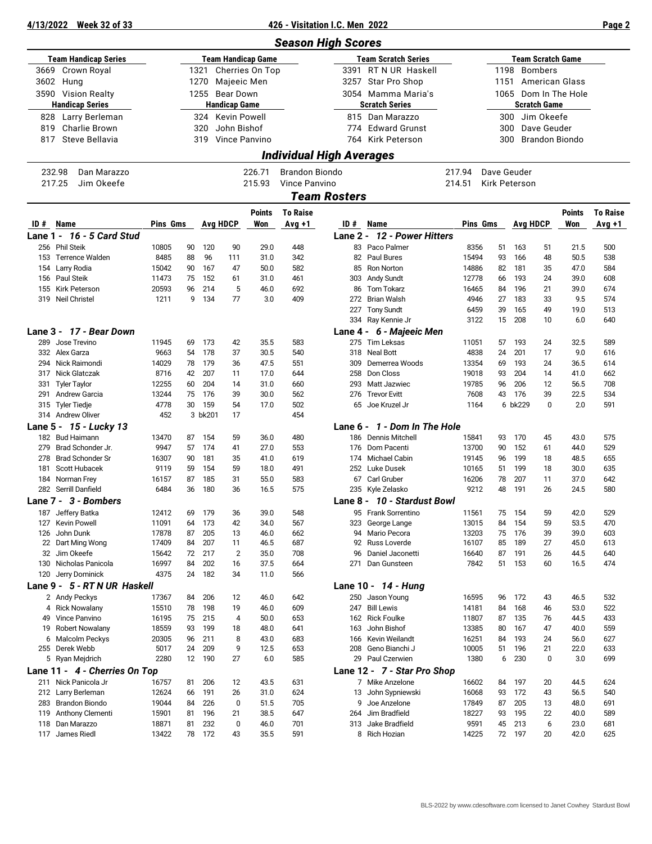#### **4/13/2022 Week 32 of 33 426 - Visitation I.C. Men 2022 Page 2**

|           |                                         |                |          |            |                      |                           | <b>Season High Scores</b>       |                     |                                  |                |          |                 |                     |                          |                 |
|-----------|-----------------------------------------|----------------|----------|------------|----------------------|---------------------------|---------------------------------|---------------------|----------------------------------|----------------|----------|-----------------|---------------------|--------------------------|-----------------|
|           | <b>Team Handicap Series</b>             |                |          |            |                      | <b>Team Handicap Game</b> |                                 |                     | <b>Team Scratch Series</b>       |                |          |                 |                     | <b>Team Scratch Game</b> |                 |
|           | 3669 Crown Royal                        |                |          | 1321       |                      | Cherries On Top           |                                 |                     | 3391 RT N UR Haskell             |                |          | 1198 Bombers    |                     |                          |                 |
|           | 3602 Hung                               |                |          | 1270       | Majeeic Men          |                           |                                 |                     | 3257 Star Pro Shop               |                |          |                 |                     | 1151 American Glass      |                 |
|           | 3590 Vision Realty                      |                |          |            | 1255 Bear Down       |                           |                                 |                     | 3054 Mamma Maria's               |                |          |                 |                     | 1065 Dom In The Hole     |                 |
|           | <b>Handicap Series</b>                  |                |          |            | <b>Handicap Game</b> |                           |                                 |                     | <b>Scratch Series</b>            |                |          |                 | <b>Scratch Game</b> |                          |                 |
|           | 828 Larry Berleman                      |                |          |            | 324 Kevin Powell     |                           |                                 |                     | 815 Dan Marazzo                  |                |          | 300 Jim Okeefe  |                     |                          |                 |
| 819       | <b>Charlie Brown</b>                    |                |          | 320        | John Bishof          |                           |                                 |                     | 774 Edward Grunst                |                |          | 300             | Dave Geuder         |                          |                 |
| 817       | Steve Bellavia                          |                |          | 319        |                      | Vince Panvino             |                                 |                     | 764 Kirk Peterson                |                | 300      |                 |                     | <b>Brandon Biondo</b>    |                 |
|           |                                         |                |          |            |                      |                           |                                 |                     |                                  |                |          |                 |                     |                          |                 |
|           |                                         |                |          |            |                      |                           | <b>Individual High Averages</b> |                     |                                  |                |          |                 |                     |                          |                 |
|           | 232.98<br>Dan Marazzo                   |                |          |            |                      | 226.71                    | Brandon Biondo                  |                     |                                  | 217.94         |          | Dave Geuder     |                     |                          |                 |
|           | 217.25<br>Jim Okeefe                    |                |          |            |                      | 215.93                    | Vince Panvino                   |                     |                                  | 214.51         |          | Kirk Peterson   |                     |                          |                 |
|           |                                         |                |          |            |                      |                           |                                 | <b>Team Rosters</b> |                                  |                |          |                 |                     |                          |                 |
|           |                                         |                |          |            |                      | <b>Points</b>             | <b>To Raise</b>                 |                     |                                  |                |          |                 |                     | <b>Points</b>            | <b>To Raise</b> |
| ID # Name |                                         | Pins Gms       |          |            | <b>Avg HDCP</b>      | Won                       | Avg +1                          | ID#                 | Name                             | Pins Gms       |          | <b>Avg HDCP</b> |                     | Won                      | $Avg +1$        |
|           | Lane 1 - 16 - 5 Card Stud               |                |          |            |                      |                           |                                 |                     | Lane 2 - 12 - Power Hitters      |                |          |                 |                     |                          |                 |
|           | 256 Phil Steik                          |                | 90       | 120        | 90                   | 29.0                      | 448                             | 83                  | Paco Palmer                      | 8356           | 51       |                 |                     | 21.5                     | 500             |
|           | 153 Terrence Walden                     | 10805<br>8485  | 88       | 96         | 111                  | 31.0                      | 342                             |                     | 82 Paul Bures                    | 15494          | 93       | 163<br>166      | 51<br>48            | 50.5                     | 538             |
|           | 154 Larry Rodia                         | 15042          | 90       | 167        | 47                   | 50.0                      | 582                             |                     | 85 Ron Norton                    | 14886          | 82       | 181             | 35                  | 47.0                     | 584             |
|           | 156 Paul Steik                          | 11473          | 75       | 152        | 61                   | 31.0                      | 461                             | 303                 | <b>Andy Sundt</b>                | 12778          | 66       | 193             | 24                  | 39.0                     | 608             |
|           | 155 Kirk Peterson                       | 20593          | 96       | 214        | 5                    | 46.0                      | 692                             | 86                  | <b>Tom Tokarz</b>                | 16465          | 84       | 196             | 21                  | 39.0                     | 674             |
|           | 319 Neil Christel                       | 1211           | 9        | 134        | 77                   | 3.0                       | 409                             |                     | 272 Brian Walsh                  | 4946           | 27       | 183             | 33                  | 9.5                      | 574             |
|           |                                         |                |          |            |                      |                           |                                 | 227                 | <b>Tony Sundt</b>                | 6459           | 39       | 165             | 49                  | 19.0                     | 513             |
|           |                                         |                |          |            |                      |                           |                                 |                     | 334 Ray Kennie Jr                | 3122           | 15       | 208             | 10                  | 6.0                      | 640             |
|           | Lane 3 - 17 - Bear Down                 |                |          |            |                      |                           |                                 |                     | Lane 4 - 6 - Majeeic Men         |                |          |                 |                     |                          |                 |
|           | 289 Jose Trevino                        | 11945          | 69       | 173        | 42                   | 35.5                      | 583                             | 275                 | Tim Leksas                       | 11051          | 57       | 193             | 24                  | 32.5                     | 589             |
|           | 332 Alex Garza                          | 9663           | 54       | 178        | 37                   | 30.5                      | 540                             |                     | 318 Neal Bott                    | 4838           | 24       | 201             | 17                  | 9.0                      | 616             |
|           | 294 Nick Raimondi                       | 14029          | 78       | 179        | 36                   | 47.5                      | 551                             | 309                 | Demerrea Woods                   | 13354          | 69       | 193             | 24                  | 36.5                     | 614             |
|           | 317 Nick Glatczak                       | 8716           | 42       | 207        | 11                   | 17.0                      | 644                             | 258                 | Don Closs                        | 19018          | 93       | 204             | 14                  | 41.0                     | 662             |
|           | 331 Tyler Taylor                        | 12255          | 60       | 204        | 14                   | 31.0                      | 660                             | 293                 | Matt Jazwiec                     | 19785          | 96       | 206             | 12                  | 56.5                     | 708             |
| 291       | <b>Andrew Garcia</b>                    | 13244          | 75       | 176        | 39                   | 30.0                      | 562                             | 276                 | <b>Trevor Evitt</b>              | 7608           | 43       | 176             | 39                  | 22.5                     | 534             |
|           | 315 Tyler Tiedje                        | 4778           | 30       | 159        | 54                   | 17.0                      | 502                             | 65                  | Joe Kruzel Jr                    | 1164           |          | 6 bk229         | 0                   | 2.0                      | 591             |
|           | 314 Andrew Oliver                       | 452            |          | 3 bk201    | 17                   |                           | 454                             |                     |                                  |                |          |                 |                     |                          |                 |
|           | Lane 5 - 15 - Lucky 13                  |                |          |            |                      |                           |                                 |                     | Lane 6 - 1 - Dom In The Hole     |                |          |                 |                     |                          |                 |
|           | 182 Bud Haimann                         | 13470          | 87       | 154        | 59                   | 36.0                      | 480                             |                     | 186 Dennis Mitchell              | 15841          | 93       | 170             | 45                  | 43.0                     | 575             |
| 279       | Brad Schonder Jr.                       | 9947           | 57       | 174        | 41                   | 27.0                      | 553                             |                     | 176 Dom Pacenti                  | 13700          | 90       | 152             | 61                  | 44.0                     | 529             |
| 278       | <b>Brad Schonder Sr</b>                 | 16307          | 90       | 181        | 35                   | 41.0                      | 619                             |                     | 174 Michael Cabin                | 19145          | 96       | 199             | 18                  | 48.5                     | 655             |
| 181       | Scott Hubacek                           | 9119           | 59       | 154        | 59                   | 18.0                      | 491                             |                     | 252 Luke Dusek                   | 10165          | 51       | 199             | 18                  | 30.0                     | 635             |
|           | 184 Norman Frey<br>282 Serrill Danfield | 16157<br>6484  | 87<br>36 | 185        | 31                   | 55.0                      | 583<br>575                      |                     | 67 Carl Gruber                   | 16206<br>9212  | 78<br>48 | 207<br>191      | 11<br>26            | 37.0                     | 642             |
|           | Lane 7 - 3 - Bombers                    |                |          | 180        | 36                   | 16.5                      |                                 |                     | 235 Kyle Zelasko                 |                |          |                 |                     | 24.5                     | 580             |
|           |                                         |                |          |            |                      |                           |                                 |                     | Lane 8 - 10 - Stardust Bowl      |                |          |                 |                     |                          |                 |
|           | 187 Jeffery Batka                       | 12412          | 69       | 179<br>173 | 36                   | 39.0                      | 548                             |                     | 95 Frank Sorrentino              | 11561          | 84       | 75 154          | 59                  | 42.0                     | 529             |
|           | 127 Kevin Powell<br>126 John Dunk       | 11091<br>17878 | 64<br>87 | 205        | 42<br>13             | 34.0<br>46.0              | 567<br>662                      | 94                  | 323 George Lange<br>Mario Pecora | 13015<br>13203 | 75       | 154<br>176      | 59<br>39            | 53.5<br>39.0             | 470<br>603      |
|           | 22 Dart Ming Wong                       | 17409          | 84       | 207        | 11                   | 46.5                      | 687                             | 92                  | Russ Loverde                     | 16107          | 85       | 189             | 27                  | 45.0                     | 613             |
|           | 32 Jim Okeefe                           | 15642          | 72       | 217        | $\overline{2}$       | 35.0                      | 708                             | 96                  | Daniel Jaconetti                 | 16640          | 87       | 191             | 26                  | 44.5                     | 640             |
|           | 130 Nicholas Panicola                   | 16997          | 84       | 202        | 16                   | 37.5                      | 664                             | 271                 | Dan Gunsteen                     | 7842           | 51       | 153             | 60                  | 16.5                     | 474             |
|           | 120 Jerry Dominick                      | 4375           | 24       | 182        | 34                   | 11.0                      | 566                             |                     |                                  |                |          |                 |                     |                          |                 |
|           | Lane 9 - 5 - RT N UR Haskell            |                |          |            |                      |                           |                                 |                     | Lane 10 - 14 - Hung              |                |          |                 |                     |                          |                 |
|           | 2 Andy Peckys                           | 17367          | 84       | 206        | 12                   | 46.0                      | 642                             |                     | 250 Jason Young                  | 16595          | 96       | 172             | 43                  | 46.5                     | 532             |
|           | 4 Rick Nowalany                         | 15510          | 78       | 198        | 19                   | 46.0                      | 609                             |                     | 247 Bill Lewis                   | 14181          | 84       | 168             | 46                  | 53.0                     | 522             |
|           | 49 Vince Panvino                        | 16195          | 75       | 215        | 4                    | 50.0                      | 653                             |                     | 162 Rick Foulke                  | 11807          | 87       | 135             | 76                  | 44.5                     | 433             |
|           | 19 Robert Nowalany                      | 18559          | 93       | 199        | 18                   | 48.0                      | 641                             | 163                 | John Bishof                      | 13385          | 80       | 167             | 47                  | 40.0                     | 559             |
|           | 6 Malcolm Peckys                        | 20305          | 96       | 211        | 8                    | 43.0                      | 683                             |                     | 166 Kevin Weilandt               | 16251          | 84       | 193             | 24                  | 56.0                     | 627             |
|           | 255 Derek Webb                          | 5017           | 24       | 209        | 9                    | 12.5                      | 653                             | 208                 | Geno Bianchi J                   | 10005          | 51       | 196             | 21                  | 22.0                     | 633             |
|           | 5 Ryan Mejdrich                         | 2280           |          | 12 190     | 27                   | 6.0                       | 585                             |                     | 29 Paul Czerwien                 | 1380           | 6        | 230             | 0                   | 3.0                      | 699             |
|           | Lane 11 - 4 - Cherries On Top           |                |          |            |                      |                           |                                 |                     | Lane 12 - 7 - Star Pro Shop      |                |          |                 |                     |                          |                 |
|           | 211 Nick Panicola Jr                    | 16757          | 81       | 206        | 12                   | 43.5                      | 631                             |                     | 7 Mike Anzelone                  | 16602          | 84       | 197             | 20                  | 44.5                     | 624             |
|           | 212 Larry Berleman                      | 12624          | 66       | 191        | 26                   | 31.0                      | 624                             |                     | 13 John Sypniewski               | 16068          | 93       | 172             | 43                  | 56.5                     | 540             |
|           | 283 Brandon Biondo                      | 19044          | 84       | 226        | 0                    | 51.5                      | 705                             | 9                   | Joe Anzelone                     | 17849          | 87       | 205             | 13                  | 48.0                     | 691             |
|           | 119 Anthony Clementi                    | 15901          | 81       | 196        | 21                   | 38.5                      | 647                             | 264                 | Jim Bradfield                    | 18227          | 93       | 195             | 22                  | 40.0                     | 589             |
|           | 118 Dan Marazzo                         | 18871          | 81       | 232        | 0                    | 46.0                      | 701                             | 313                 | Jake Bradfield                   | 9591           | 45       | 213             | 6                   | 23.0                     | 681             |
|           | 117 James Riedl                         | 13422          |          | 78 172     | 43                   | 35.5                      | 591                             |                     | 8 Rich Hozian                    | 14225          |          | 72 197          | 20                  | 42.0                     | 625             |